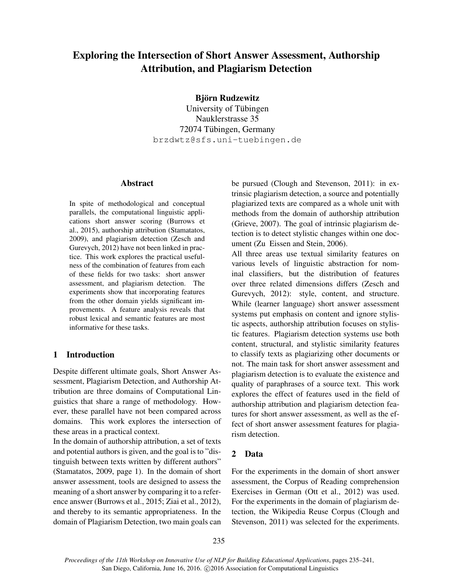# Exploring the Intersection of Short Answer Assessment, Authorship Attribution, and Plagiarism Detection

## Björn Rudzewitz

University of Tübingen Nauklerstrasse 35 72074 Tübingen, Germany brzdwtz@sfs.uni-tuebingen.de

#### Abstract

In spite of methodological and conceptual parallels, the computational linguistic applications short answer scoring (Burrows et al., 2015), authorship attribution (Stamatatos, 2009), and plagiarism detection (Zesch and Gurevych, 2012) have not been linked in practice. This work explores the practical usefulness of the combination of features from each of these fields for two tasks: short answer assessment, and plagiarism detection. The experiments show that incorporating features from the other domain yields significant improvements. A feature analysis reveals that robust lexical and semantic features are most informative for these tasks.

# 1 Introduction

Despite different ultimate goals, Short Answer Assessment, Plagiarism Detection, and Authorship Attribution are three domains of Computational Linguistics that share a range of methodology. However, these parallel have not been compared across domains. This work explores the intersection of these areas in a practical context.

In the domain of authorship attribution, a set of texts and potential authors is given, and the goal is to "distinguish between texts written by different authors" (Stamatatos, 2009, page 1). In the domain of short answer assessment, tools are designed to assess the meaning of a short answer by comparing it to a reference answer (Burrows et al., 2015; Ziai et al., 2012), and thereby to its semantic appropriateness. In the domain of Plagiarism Detection, two main goals can be pursued (Clough and Stevenson, 2011): in extrinsic plagiarism detection, a source and potentially plagiarized texts are compared as a whole unit with methods from the domain of authorship attribution (Grieve, 2007). The goal of intrinsic plagiarism detection is to detect stylistic changes within one document (Zu Eissen and Stein, 2006).

All three areas use textual similarity features on various levels of linguistic abstraction for nominal classifiers, but the distribution of features over three related dimensions differs (Zesch and Gurevych, 2012): style, content, and structure. While (learner language) short answer assessment systems put emphasis on content and ignore stylistic aspects, authorship attribution focuses on stylistic features. Plagiarism detection systems use both content, structural, and stylistic similarity features to classify texts as plagiarizing other documents or not. The main task for short answer assessment and plagiarism detection is to evaluate the existence and quality of paraphrases of a source text. This work explores the effect of features used in the field of authorship attribution and plagiarism detection features for short answer assessment, as well as the effect of short answer assessment features for plagiarism detection.

### 2 Data

For the experiments in the domain of short answer assessment, the Corpus of Reading comprehension Exercises in German (Ott et al., 2012) was used. For the experiments in the domain of plagiarism detection, the Wikipedia Reuse Corpus (Clough and Stevenson, 2011) was selected for the experiments.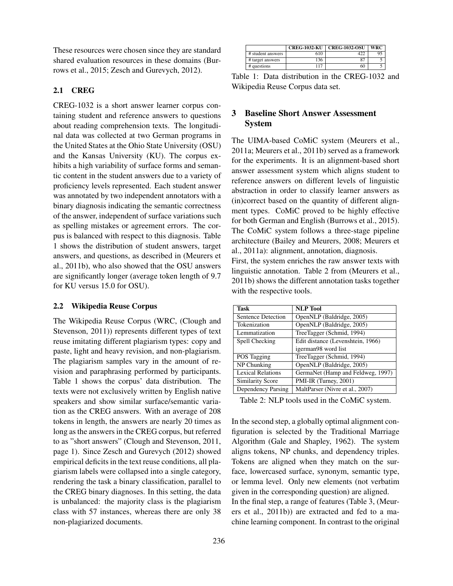These resources were chosen since they are standard shared evaluation resources in these domains (Burrows et al., 2015; Zesch and Gurevych, 2012).

## 2.1 CREG

CREG-1032 is a short answer learner corpus containing student and reference answers to questions about reading comprehension texts. The longitudinal data was collected at two German programs in the United States at the Ohio State University (OSU) and the Kansas University (KU). The corpus exhibits a high variability of surface forms and semantic content in the student answers due to a variety of proficiency levels represented. Each student answer was annotated by two independent annotators with a binary diagnosis indicating the semantic correctness of the answer, independent of surface variations such as spelling mistakes or agreement errors. The corpus is balanced with respect to this diagnosis. Table 1 shows the distribution of student answers, target answers, and questions, as described in (Meurers et al., 2011b), who also showed that the OSU answers are significantly longer (average token length of 9.7 for KU versus 15.0 for OSU).

### 2.2 Wikipedia Reuse Corpus

The Wikipedia Reuse Corpus (WRC, (Clough and Stevenson, 2011)) represents different types of text reuse imitating different plagiarism types: copy and paste, light and heavy revision, and non-plagiarism. The plagiarism samples vary in the amount of revision and paraphrasing performed by participants. Table 1 shows the corpus' data distribution. The texts were not exclusively written by English native speakers and show similar surface/semantic variation as the CREG answers. With an average of 208 tokens in length, the answers are nearly 20 times as long as the answers in the CREG corpus, but referred to as "short answers" (Clough and Stevenson, 2011, page 1). Since Zesch and Gurevych (2012) showed empirical deficits in the text reuse conditions, all plagiarism labels were collapsed into a single category, rendering the task a binary classification, parallel to the CREG binary diagnoses. In this setting, the data is unbalanced: the majority class is the plagiarism class with 57 instances, whereas there are only 38 non-plagiarized documents.

|                   | <b>CREG-1032-KU</b> | <b>CREG-1032-OSU</b> | <b>WRC</b> |
|-------------------|---------------------|----------------------|------------|
| # student answers | 610                 |                      |            |
| # target answers  | 136                 | QП                   |            |
| # questions       | 117                 | 60                   |            |

Table 1: Data distribution in the CREG-1032 and Wikipedia Reuse Corpus data set.

# 3 Baseline Short Answer Assessment System

The UIMA-based CoMiC system (Meurers et al., 2011a; Meurers et al., 2011b) served as a framework for the experiments. It is an alignment-based short answer assessment system which aligns student to reference answers on different levels of linguistic abstraction in order to classify learner answers as (in)correct based on the quantity of different alignment types. CoMiC proved to be highly effective for both German and English (Burrows et al., 2015). The CoMiC system follows a three-stage pipeline architecture (Bailey and Meurers, 2008; Meurers et al., 2011a): alignment, annotation, diagnosis.

First, the system enriches the raw answer texts with linguistic annotation. Table 2 from (Meurers et al., 2011b) shows the different annotation tasks together with the respective tools.

| Task                     | <b>NLP</b> Tool                   |
|--------------------------|-----------------------------------|
| Sentence Detection       | OpenNLP (Baldridge, 2005)         |
| Tokenization             | OpenNLP (Baldridge, 2005)         |
| Lemmatization            | TreeTagger (Schmid, 1994)         |
| Spell Checking           | Edit distance (Levenshtein, 1966) |
|                          | igerman98 word list               |
| POS Tagging              | TreeTagger (Schmid, 1994)         |
| NP Chunking              | OpenNLP (Baldridge, 2005)         |
| <b>Lexical Relations</b> | GermaNet (Hamp and Feldweg, 1997) |
| <b>Similarity Score</b>  | PMI-IR (Turney, 2001)             |
| Dependency Parsing       | MaltParser (Nivre et al., 2007)   |

Table 2: NLP tools used in the CoMiC system.

In the second step, a globally optimal alignment configuration is selected by the Traditional Marriage Algorithm (Gale and Shapley, 1962). The system aligns tokens, NP chunks, and dependency triples. Tokens are aligned when they match on the surface, lowercased surface, synonym, semantic type, or lemma level. Only new elements (not verbatim given in the corresponding question) are aligned. In the final step, a range of features (Table 3, (Meurers et al., 2011b)) are extracted and fed to a machine learning component. In contrast to the original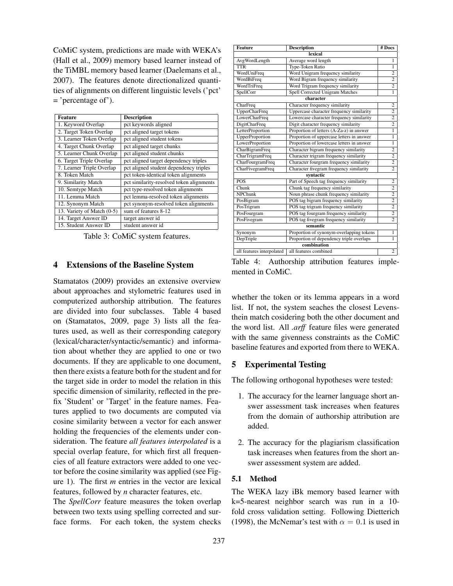CoMiC system, predictions are made with WEKA's (Hall et al., 2009) memory based learner instead of the TiMBL memory based learner (Daelemans et al., 2007). The features denote directionalized quantities of alignments on different linguistic levels ('pct' = 'percentage of').

| <b>Feature</b>             | <b>Description</b>                       |
|----------------------------|------------------------------------------|
| 1. Keyword Overlap         | pct keywords aligned                     |
| 2. Target Token Overlap    | pct aligned target tokens                |
| 3. Learner Token Overlap   | pct aligned student tokens               |
| 4. Target Chunk Overlap    | pct aligned target chunks                |
| 5. Learner Chunk Overlap   | pct aligned student chunks               |
| 6. Target Triple Overlap   | pct aligned target dependency triples    |
| 7. Learner Triple Overlap  | pct aligned student dependency triples   |
| 8. Token Match             | pct token-identical token alignments     |
| 9. Similarity Match        | pct similarity-resolved token alignments |
| 10. Semtype Match          | pct type-resolved token alignments       |
| 11. Lemma Match            | pct lemma-resolved token alignments      |
| 12. Synonym Match          | pct synonym-resolved token alignments    |
| 13. Variety of Match (0-5) | sum of features 8-12                     |
| 14. Target Answer ID       | target answer id                         |
| 15. Student Answer ID      | student answer id                        |

Table 3: CoMiC system features.

# 4 Extensions of the Baseline System

Stamatatos (2009) provides an extensive overview about approaches and stylometric features used in computerized authorship attribution. The features are divided into four subclasses. Table 4 based on (Stamatatos, 2009, page 3) lists all the features used, as well as their corresponding category (lexical/character/syntactic/semantic) and information about whether they are applied to one or two documents. If they are applicable to one document, then there exists a feature both for the student and for the target side in order to model the relation in this specific dimension of similarity, reflected in the prefix 'Student' or 'Target' in the feature names. Features applied to two documents are computed via cosine similarity between a vector for each answer holding the frequencies of the elements under consideration. The feature *all features interpolated* is a special overlap feature, for which first all frequencies of all feature extractors were added to one vector before the cosine similarity was applied (see Figure 1). The first *m* entries in the vector are lexical features, followed by *n* character features, etc.

The *SpellCorr* feature measures the token overlap between two texts using spelling corrected and surface forms. For each token, the system checks

| <b>Feature</b>            | <b>Description</b>                        | $#$ Docs       |  |
|---------------------------|-------------------------------------------|----------------|--|
| lexical                   |                                           |                |  |
| AvgWordLength             | Average word length                       | 1              |  |
| <b>TTR</b>                | <b>Type-Token Ratio</b>                   | $\overline{1}$ |  |
| WordUniFreq               | Word Unigram frequency similarity         | $\overline{2}$ |  |
| WordBiFreq                | Word Bigram frequency similarity          | $\overline{2}$ |  |
| WordTriFreq               | Word Trigram frequency similarity         | $\overline{2}$ |  |
| SpellCorr                 | Spell Corrected Unigram Matches           | $\overline{1}$ |  |
|                           | character                                 |                |  |
| CharFreq                  | Character frequency similarity            | 2              |  |
| <b>UpperCharFreq</b>      | Uppercase character frequency similarity  | $\overline{2}$ |  |
| LowerCharFreq             | Lowercase character frequency similarity  | $\overline{2}$ |  |
| <b>DigitCharFreq</b>      | Digit character frequency similarity      | $\overline{2}$ |  |
| LetterProportion          | Proportion of letters (A-Za-z) in answer  | $\mathbf{1}$   |  |
| UpperProportion           | Proportion of uppercase letters in answer | $\overline{1}$ |  |
| LowerProportion           | Proportion of lowercase letters in answer | $\mathbf{1}$   |  |
| CharBigramFreq            | Character bigram frequency similarity     | $\overline{2}$ |  |
| CharTrigramFreq           | Character trigram frequency similarity    | $\overline{2}$ |  |
| CharFourgramFreq          | Character fourgram frequency similarity   | $\overline{2}$ |  |
| CharFivegramFreq          | Character fivegram frequency similarity   | $\overline{2}$ |  |
| syntactic                 |                                           |                |  |
| <b>POS</b>                | Part of Speech tag frequency similarity   | $\overline{2}$ |  |
| Chunk                     | Chunk tag frequency similarity            | $\overline{2}$ |  |
| <b>NPChunk</b>            | Noun phrase chunk frequency similarity    | $\overline{2}$ |  |
| PosBigram                 | POS tag bigram frequency similarity       | $\overline{2}$ |  |
| PosTrigram                | POS tag trigram frequency similarity      | $\overline{2}$ |  |
| PosFourgram               | POS tag fourgram frequency similarity     | $\overline{2}$ |  |
| PosFivegram               | POS tag fivegram frequency similarity     | $\overline{2}$ |  |
| semantic                  |                                           |                |  |
| Synonym                   | Proportion of synonym-overlapping tokens  | 1              |  |
| DepTriple                 | Proportion of dependency triple overlaps  | $\overline{1}$ |  |
| combination               |                                           |                |  |
| all features interpolated | all features combined                     | $\overline{2}$ |  |

Table 4: Authorship attribution features implemented in CoMiC.

whether the token or its lemma appears in a word list. If not, the system seaches the closest Levensthein match cosidering both the other document and the word list. All *.arff* feature files were generated with the same givenness constraints as the CoMiC baseline features and exported from there to WEKA.

## 5 Experimental Testing

The following orthogonal hypotheses were tested:

- 1. The accuracy for the learner language short answer assessment task increases when features from the domain of authorship attribution are added.
- 2. The accuracy for the plagiarism classification task increases when features from the short answer assessment system are added.

#### 5.1 Method

The WEKA lazy iBk memory based learner with k=5-nearest neighbor search was run in a 10 fold cross validation setting. Following Dietterich (1998), the McNemar's test with  $\alpha = 0.1$  is used in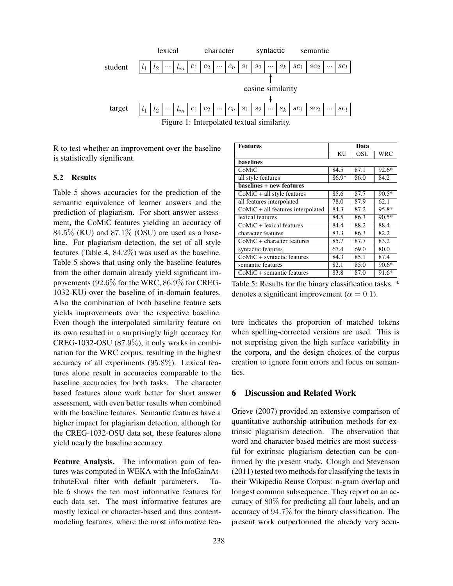

R to test whether an improvement over the baseline is statistically significant.

#### 5.2 Results

Table 5 shows accuracies for the prediction of the semantic equivalence of learner answers and the prediction of plagiarism. For short answer assessment, the CoMiC features yielding an accuracy of  $84.5\%$  (KU) and  $87.1\%$  (OSU) are used as a baseline. For plagiarism detection, the set of all style features (Table 4, 84.2%) was used as the baseline. Table 5 shows that using only the baseline features from the other domain already yield significant improvements (92.6% for the WRC, 86.9% for CREG-1032-KU) over the baseline of in-domain features. Also the combination of both baseline feature sets yields improvements over the respective baseline. Even though the interpolated similarity feature on its own resulted in a surprisingly high accuracy for CREG-1032-OSU (87.9%), it only works in combination for the WRC corpus, resulting in the highest accuracy of all experiments (95.8%). Lexical features alone result in accuracies comparable to the baseline accuracies for both tasks. The character based features alone work better for short answer assessment, with even better results when combined with the baseline features. Semantic features have a higher impact for plagiarism detection, although for the CREG-1032-OSU data set, these features alone yield nearly the baseline accuracy.

Feature Analysis. The information gain of features was computed in WEKA with the InfoGainAttributeEval filter with default parameters. Table 6 shows the ten most informative features for each data set. The most informative features are mostly lexical or character-based and thus contentmodeling features, where the most informative fea-

| <b>Features</b>                     | Data      |      |         |
|-------------------------------------|-----------|------|---------|
|                                     | <b>KU</b> | OSU  | WRC     |
| <b>baselines</b>                    |           |      |         |
| CoMiC                               | 84.5      | 87.1 | $92.6*$ |
| all style features                  | 86.9*     | 86.0 | 84.2    |
| baselines + new features            |           |      |         |
| $CoMiC + all$ style features        | 85.6      | 87.7 | $90.5*$ |
| all features interpolated           | 78.0      | 87.9 | 62.1    |
| $CoMiC + all features interpolated$ | 84.3      | 87.2 | 95.8*   |
| lexical features                    | 84.5      | 86.3 | $90.5*$ |
| $CoMiC + lexical$ features          | 84.4      | 88.2 | 88.4    |
| character features                  | 83.3      | 86.3 | 82.2    |
| $CoMiC + character features$        | 85.7      | 87.7 | 83.2    |
| syntactic features                  | 67.4      | 69.0 | 80.0    |
| CoMiC + syntactic features          | 84.3      | 85.1 | 87.4    |
| semantic features                   | 82.1      | 85.0 | $90.6*$ |
| CoMiC + semantic features           | 83.8      | 87.0 | 91.6*   |

Table 5: Results for the binary classification tasks. \* denotes a significant improvement ( $\alpha = 0.1$ ).

ture indicates the proportion of matched tokens when spelling-corrected versions are used. This is not surprising given the high surface variability in the corpora, and the design choices of the corpus creation to ignore form errors and focus on semantics.

## 6 Discussion and Related Work

Grieve (2007) provided an extensive comparison of quantitative authorship attribution methods for extrinsic plagiarism detection. The observation that word and character-based metrics are most successful for extrinsic plagiarism detection can be confirmed by the present study. Clough and Stevenson (2011) tested two methods for classifying the texts in their Wikipedia Reuse Corpus: n-gram overlap and longest common subsequence. They report on an accuracy of 80% for predicting all four labels, and an accuracy of 94.7% for the binary classification. The present work outperformed the already very accu-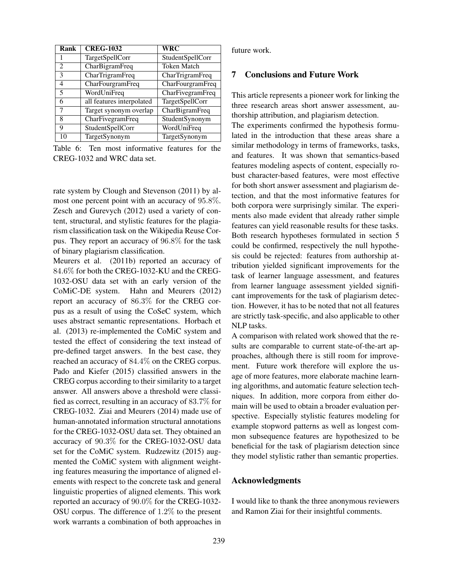| Rank                        | <b>CREG-1032</b>          | WRC                |
|-----------------------------|---------------------------|--------------------|
|                             | TargetSpellCorr           | StudentSpellCorr   |
| $\mathcal{D}_{\mathcal{L}}$ | CharBigramFreq            | <b>Token Match</b> |
| 3                           | CharTrigramFreq           | CharTrigramFreq    |
| $\overline{4}$              | CharFourgramFreq          | CharFourgramFreq   |
| 5                           | WordUniFreq               | CharFivegramFreq   |
| 6                           | all features interpolated | TargetSpellCorr    |
| 7                           | Target synonym overlap    | CharBigramFreq     |
| 8                           | CharFivegramFreq          | StudentSynonym     |
| 9                           | StudentSpellCorr          | WordUniFreq        |
| 10                          | TargetSynonym             | TargetSynonym      |

Table 6: Ten most informative features for the CREG-1032 and WRC data set.

rate system by Clough and Stevenson (2011) by almost one percent point with an accuracy of 95.8%. Zesch and Gurevych (2012) used a variety of content, structural, and stylistic features for the plagiarism classification task on the Wikipedia Reuse Corpus. They report an accuracy of 96.8% for the task of binary plagiarism classification.

Meurers et al. (2011b) reported an accuracy of 84.6% for both the CREG-1032-KU and the CREG-1032-OSU data set with an early version of the CoMiC-DE system. Hahn and Meurers (2012) report an accuracy of 86.3% for the CREG corpus as a result of using the CoSeC system, which uses abstract semantic representations. Horbach et al. (2013) re-implemented the CoMiC system and tested the effect of considering the text instead of pre-defined target answers. In the best case, they reached an accuracy of 84.4% on the CREG corpus. Pado and Kiefer (2015) classified answers in the CREG corpus according to their similarity to a target answer. All answers above a threshold were classified as correct, resulting in an accuracy of 83.7% for CREG-1032. Ziai and Meurers (2014) made use of human-annotated information structural annotations for the CREG-1032-OSU data set. They obtained an accuracy of 90.3% for the CREG-1032-OSU data set for the CoMiC system. Rudzewitz (2015) augmented the CoMiC system with alignment weighting features measuring the importance of aligned elements with respect to the concrete task and general linguistic properties of aligned elements. This work reported an accuracy of 90.0% for the CREG-1032- OSU corpus. The difference of 1.2% to the present work warrants a combination of both approaches in future work.

## 7 Conclusions and Future Work

This article represents a pioneer work for linking the three research areas short answer assessment, authorship attribution, and plagiarism detection.

The experiments confirmed the hypothesis formulated in the introduction that these areas share a similar methodology in terms of frameworks, tasks, and features. It was shown that semantics-based features modeling aspects of content, especially robust character-based features, were most effective for both short answer assessment and plagiarism detection, and that the most informative features for both corpora were surprisingly similar. The experiments also made evident that already rather simple features can yield reasonable results for these tasks. Both research hypotheses formulated in section 5 could be confirmed, respectively the null hypothesis could be rejected: features from authorship attribution yielded significant improvements for the task of learner language assessment, and features from learner language assessment yielded significant improvements for the task of plagiarism detection. However, it has to be noted that not all features are strictly task-specific, and also applicable to other NLP tasks.

A comparison with related work showed that the results are comparable to current state-of-the-art approaches, although there is still room for improvement. Future work therefore will explore the usage of more features, more elaborate machine learning algorithms, and automatic feature selection techniques. In addition, more corpora from either domain will be used to obtain a broader evaluation perspective. Especially stylistic features modeling for example stopword patterns as well as longest common subsequence features are hypothesized to be beneficial for the task of plagiarism detection since they model stylistic rather than semantic properties.

### Acknowledgments

I would like to thank the three anonymous reviewers and Ramon Ziai for their insightful comments.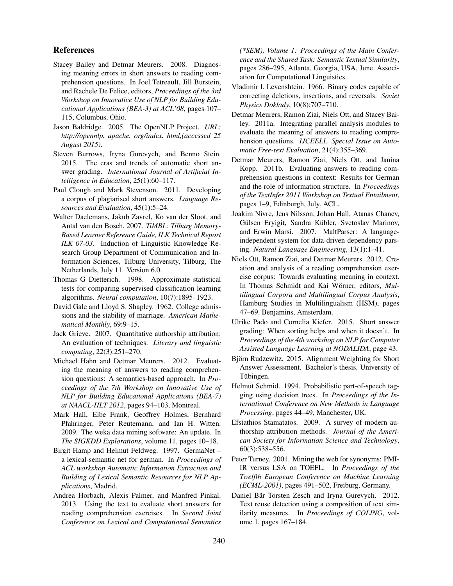### References

- Stacey Bailey and Detmar Meurers. 2008. Diagnosing meaning errors in short answers to reading comprehension questions. In Joel Tetreault, Jill Burstein, and Rachele De Felice, editors, *Proceedings of the 3rd Workshop on Innovative Use of NLP for Building Educational Applications (BEA-3) at ACL'08*, pages 107– 115, Columbus, Ohio.
- Jason Baldridge. 2005. The OpenNLP Project. *URL: http://opennlp. apache. org/index. html,(accessed 25 August 2015)*.
- Steven Burrows, Iryna Gurevych, and Benno Stein. 2015. The eras and trends of automatic short answer grading. *International Journal of Artificial Intelligence in Education*, 25(1):60–117.
- Paul Clough and Mark Stevenson. 2011. Developing a corpus of plagiarised short answers. *Language Resources and Evaluation*, 45(1):5–24.
- Walter Daelemans, Jakub Zavrel, Ko van der Sloot, and Antal van den Bosch, 2007. *TiMBL: Tilburg Memory-Based Learner Reference Guide, ILK Technical Report ILK 07-03*. Induction of Linguistic Knowledge Research Group Department of Communication and Information Sciences, Tilburg University, Tilburg, The Netherlands, July 11. Version 6.0.
- Thomas G Dietterich. 1998. Approximate statistical tests for comparing supervised classification learning algorithms. *Neural computation*, 10(7):1895–1923.
- David Gale and Lloyd S. Shapley. 1962. College admissions and the stability of marriage. *American Mathematical Monthly*, 69:9–15.
- Jack Grieve. 2007. Quantitative authorship attribution: An evaluation of techniques. *Literary and linguistic computing*, 22(3):251–270.
- Michael Hahn and Detmar Meurers. 2012. Evaluating the meaning of answers to reading comprehension questions: A semantics-based approach. In *Proceedings of the 7th Workshop on Innovative Use of NLP for Building Educational Applications (BEA-7) at NAACL-HLT 2012*, pages 94–103, Montreal.
- Mark Hall, Eibe Frank, Geoffrey Holmes, Bernhard Pfahringer, Peter Reutemann, and Ian H. Witten. 2009. The weka data mining software: An update. In *The SIGKDD Explorations*, volume 11, pages 10–18.
- Birgit Hamp and Helmut Feldweg. 1997. GermaNet a lexical-semantic net for german. In *Proceedings of ACL workshop Automatic Information Extraction and Building of Lexical Semantic Resources for NLP Applications*, Madrid.
- Andrea Horbach, Alexis Palmer, and Manfred Pinkal. 2013. Using the text to evaluate short answers for reading comprehension exercises. In *Second Joint Conference on Lexical and Computational Semantics*

*(\*SEM), Volume 1: Proceedings of the Main Conference and the Shared Task: Semantic Textual Similarity*, pages 286–295, Atlanta, Georgia, USA, June. Association for Computational Linguistics.

- Vladimir I. Levenshtein. 1966. Binary codes capable of correcting deletions, insertions, and reversals. *Soviet Physics Doklady*, 10(8):707–710.
- Detmar Meurers, Ramon Ziai, Niels Ott, and Stacey Bailey. 2011a. Integrating parallel analysis modules to evaluate the meaning of answers to reading comprehension questions. *IJCEELL. Special Issue on Automatic Free-text Evaluation*, 21(4):355–369.
- Detmar Meurers, Ramon Ziai, Niels Ott, and Janina Kopp. 2011b. Evaluating answers to reading comprehension questions in context: Results for German and the role of information structure. In *Proceedings of the TextInfer 2011 Workshop on Textual Entailment*, pages 1–9, Edinburgh, July. ACL.
- Joakim Nivre, Jens Nilsson, Johan Hall, Atanas Chanev, Gülsen Eryigit, Sandra Kübler, Svetoslav Marinov, and Erwin Marsi. 2007. MaltParser: A languageindependent system for data-driven dependency parsing. *Natural Language Engineering*, 13(1):1–41.
- Niels Ott, Ramon Ziai, and Detmar Meurers. 2012. Creation and analysis of a reading comprehension exercise corpus: Towards evaluating meaning in context. In Thomas Schmidt and Kai Wörner, editors, Mul*tilingual Corpora and Multilingual Corpus Analysis*, Hamburg Studies in Multilingualism (HSM), pages 47–69. Benjamins, Amsterdam.
- Ulrike Pado and Cornelia Kiefer. 2015. Short answer grading: When sorting helps and when it doesn't. In *Proceedings of the 4th workshop on NLP for Computer Assisted Language Learning at NODALIDA*, page 43.
- Björn Rudzewitz. 2015. Alignment Weighting for Short Answer Assessment. Bachelor's thesis, University of Tubingen. ¨
- Helmut Schmid. 1994. Probabilistic part-of-speech tagging using decision trees. In *Proceedings of the International Conference on New Methods in Language Processing*, pages 44–49, Manchester, UK.
- Efstathios Stamatatos. 2009. A survey of modern authorship attribution methods. *Journal of the American Society for Information Science and Technology*, 60(3):538–556.
- Peter Turney. 2001. Mining the web for synonyms: PMI-IR versus LSA on TOEFL. In *Proceedings of the Twelfth European Conference on Machine Learning (ECML-2001)*, pages 491–502, Freiburg, Germany.
- Daniel Bär Torsten Zesch and Iryna Gurevych. 2012. Text reuse detection using a composition of text similarity measures. In *Proceedings of COLING*, volume 1, pages 167–184.